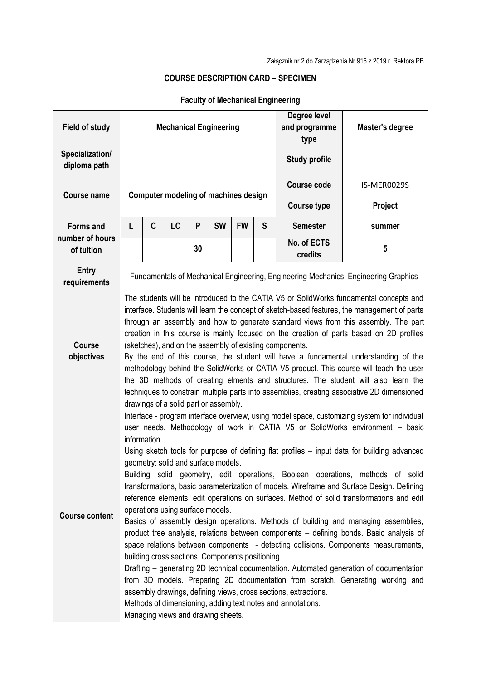| <b>Faculty of Mechanical Engineering</b> |                                                                                                                                                                                                                                                                                                                                                                                                                                                                                                                                                                                                                                                                                                                                                                                                                                                                                                                                                                                                                                                                                                                                                                                                                                                                                                                                       |   |    |    |           |           |                                       |                        |             |
|------------------------------------------|---------------------------------------------------------------------------------------------------------------------------------------------------------------------------------------------------------------------------------------------------------------------------------------------------------------------------------------------------------------------------------------------------------------------------------------------------------------------------------------------------------------------------------------------------------------------------------------------------------------------------------------------------------------------------------------------------------------------------------------------------------------------------------------------------------------------------------------------------------------------------------------------------------------------------------------------------------------------------------------------------------------------------------------------------------------------------------------------------------------------------------------------------------------------------------------------------------------------------------------------------------------------------------------------------------------------------------------|---|----|----|-----------|-----------|---------------------------------------|------------------------|-------------|
| <b>Field of study</b>                    | <b>Mechanical Engineering</b>                                                                                                                                                                                                                                                                                                                                                                                                                                                                                                                                                                                                                                                                                                                                                                                                                                                                                                                                                                                                                                                                                                                                                                                                                                                                                                         |   |    |    |           |           | Degree level<br>and programme<br>type | Master's degree        |             |
| Specialization/<br>diploma path          | <b>Study profile</b>                                                                                                                                                                                                                                                                                                                                                                                                                                                                                                                                                                                                                                                                                                                                                                                                                                                                                                                                                                                                                                                                                                                                                                                                                                                                                                                  |   |    |    |           |           |                                       |                        |             |
| <b>Course name</b>                       | <b>Computer modeling of machines design</b>                                                                                                                                                                                                                                                                                                                                                                                                                                                                                                                                                                                                                                                                                                                                                                                                                                                                                                                                                                                                                                                                                                                                                                                                                                                                                           |   |    |    |           |           |                                       | <b>Course code</b>     | IS-MER0029S |
|                                          |                                                                                                                                                                                                                                                                                                                                                                                                                                                                                                                                                                                                                                                                                                                                                                                                                                                                                                                                                                                                                                                                                                                                                                                                                                                                                                                                       |   |    |    |           |           |                                       | <b>Course type</b>     | Project     |
| <b>Forms and</b><br>number of hours      | L                                                                                                                                                                                                                                                                                                                                                                                                                                                                                                                                                                                                                                                                                                                                                                                                                                                                                                                                                                                                                                                                                                                                                                                                                                                                                                                                     | C | LC | P  | <b>SW</b> | <b>FW</b> | S                                     | <b>Semester</b>        | summer      |
| of tuition                               |                                                                                                                                                                                                                                                                                                                                                                                                                                                                                                                                                                                                                                                                                                                                                                                                                                                                                                                                                                                                                                                                                                                                                                                                                                                                                                                                       |   |    | 30 |           |           |                                       | No. of ECTS<br>credits | 5           |
| <b>Entry</b><br>requirements             | Fundamentals of Mechanical Engineering, Engineering Mechanics, Engineering Graphics                                                                                                                                                                                                                                                                                                                                                                                                                                                                                                                                                                                                                                                                                                                                                                                                                                                                                                                                                                                                                                                                                                                                                                                                                                                   |   |    |    |           |           |                                       |                        |             |
| <b>Course</b><br>objectives              | The students will be introduced to the CATIA V5 or SolidWorks fundamental concepts and<br>interface. Students will learn the concept of sketch-based features, the management of parts<br>through an assembly and how to generate standard views from this assembly. The part<br>creation in this course is mainly focused on the creation of parts based on 2D profiles<br>(sketches), and on the assembly of existing components.<br>By the end of this course, the student will have a fundamental understanding of the<br>methodology behind the SolidWorks or CATIA V5 product. This course will teach the user<br>the 3D methods of creating elments and structures. The student will also learn the<br>techniques to constrain multiple parts into assemblies, creating associative 2D dimensioned<br>drawings of a solid part or assembly.                                                                                                                                                                                                                                                                                                                                                                                                                                                                                    |   |    |    |           |           |                                       |                        |             |
| <b>Course content</b>                    | Interface - program interface overview, using model space, customizing system for individual<br>user needs. Methodology of work in CATIA V5 or SolidWorks environment - basic<br>information.<br>Using sketch tools for purpose of defining flat profiles - input data for building advanced<br>geometry: solid and surface models.<br>Building solid geometry, edit operations, Boolean operations, methods of solid<br>transformations, basic parameterization of models. Wireframe and Surface Design. Defining<br>reference elements, edit operations on surfaces. Method of solid transformations and edit<br>operations using surface models.<br>Basics of assembly design operations. Methods of building and managing assemblies,<br>product tree analysis, relations between components - defining bonds. Basic analysis of<br>space relations between components - detecting collisions. Components measurements,<br>building cross sections. Components positioning.<br>Drafting – generating 2D technical documentation. Automated generation of documentation<br>from 3D models. Preparing 2D documentation from scratch. Generating working and<br>assembly drawings, defining views, cross sections, extractions.<br>Methods of dimensioning, adding text notes and annotations.<br>Managing views and drawing sheets. |   |    |    |           |           |                                       |                        |             |

## **COURSE DESCRIPTION CARD – SPECIMEN**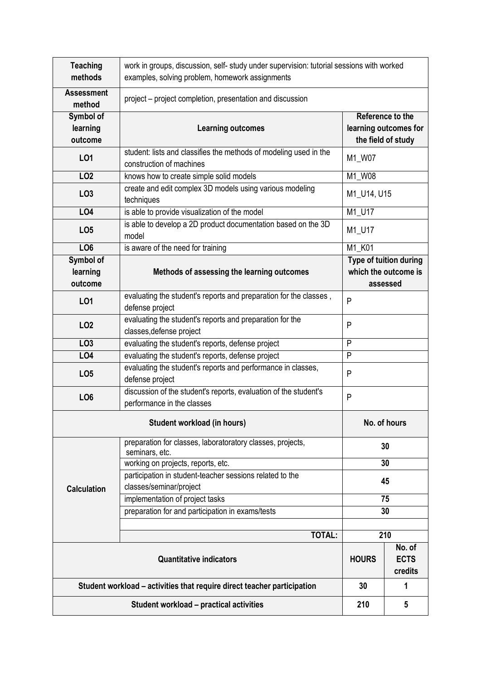| <b>Teaching</b><br>methods                                              | work in groups, discussion, self- study under supervision: tutorial sessions with worked<br>examples, solving problem, homework assignments |                                                                 |     |  |  |  |  |
|-------------------------------------------------------------------------|---------------------------------------------------------------------------------------------------------------------------------------------|-----------------------------------------------------------------|-----|--|--|--|--|
| <b>Assessment</b><br>method                                             | project – project completion, presentation and discussion                                                                                   |                                                                 |     |  |  |  |  |
| Symbol of<br>learning<br>outcome                                        | <b>Learning outcomes</b>                                                                                                                    | Reference to the<br>learning outcomes for<br>the field of study |     |  |  |  |  |
| L <sub>01</sub>                                                         | student: lists and classifies the methods of modeling used in the<br>construction of machines                                               | M1_W07                                                          |     |  |  |  |  |
| LO <sub>2</sub>                                                         | knows how to create simple solid models                                                                                                     | M1_W08                                                          |     |  |  |  |  |
| LO <sub>3</sub>                                                         | create and edit complex 3D models using various modeling<br>techniques                                                                      | M1_U14, U15                                                     |     |  |  |  |  |
| <b>LO4</b>                                                              | is able to provide visualization of the model                                                                                               | M1_U17                                                          |     |  |  |  |  |
| LO <sub>5</sub>                                                         | is able to develop a 2D product documentation based on the 3D<br>model                                                                      | M1_U17                                                          |     |  |  |  |  |
| LO <sub>6</sub>                                                         | is aware of the need for training                                                                                                           | M1_K01                                                          |     |  |  |  |  |
| Symbol of<br>learning<br>outcome                                        | Type of tuition during<br>which the outcome is<br>Methods of assessing the learning outcomes<br>assessed                                    |                                                                 |     |  |  |  |  |
| L01                                                                     | evaluating the student's reports and preparation for the classes,<br>defense project                                                        | P                                                               |     |  |  |  |  |
| LO <sub>2</sub>                                                         | evaluating the student's reports and preparation for the<br>classes, defense project                                                        | P                                                               |     |  |  |  |  |
| LO <sub>3</sub>                                                         | evaluating the student's reports, defense project                                                                                           | P                                                               |     |  |  |  |  |
| LO4                                                                     | evaluating the student's reports, defense project                                                                                           | P                                                               |     |  |  |  |  |
| LO <sub>5</sub>                                                         | evaluating the student's reports and performance in classes,<br>defense project                                                             | P                                                               |     |  |  |  |  |
| LO <sub>6</sub>                                                         | discussion of the student's reports, evaluation of the student's<br>performance in the classes                                              | P                                                               |     |  |  |  |  |
|                                                                         | No. of hours                                                                                                                                |                                                                 |     |  |  |  |  |
| <b>Calculation</b>                                                      | preparation for classes, laboratoratory classes, projects,<br>seminars, etc.                                                                | 30                                                              |     |  |  |  |  |
|                                                                         | working on projects, reports, etc.                                                                                                          | 30                                                              |     |  |  |  |  |
|                                                                         | participation in student-teacher sessions related to the                                                                                    | 45                                                              |     |  |  |  |  |
|                                                                         | classes/seminar/project                                                                                                                     |                                                                 |     |  |  |  |  |
|                                                                         | implementation of project tasks                                                                                                             | 75                                                              |     |  |  |  |  |
|                                                                         | preparation for and participation in exams/tests                                                                                            | 30                                                              |     |  |  |  |  |
|                                                                         |                                                                                                                                             |                                                                 |     |  |  |  |  |
|                                                                         | <b>TOTAL:</b>                                                                                                                               |                                                                 | 210 |  |  |  |  |
|                                                                         | <b>HOURS</b>                                                                                                                                | No. of<br><b>ECTS</b><br>credits                                |     |  |  |  |  |
| Student workload – activities that require direct teacher participation | 30                                                                                                                                          | 1                                                               |     |  |  |  |  |
| Student workload - practical activities                                 |                                                                                                                                             |                                                                 | 5   |  |  |  |  |